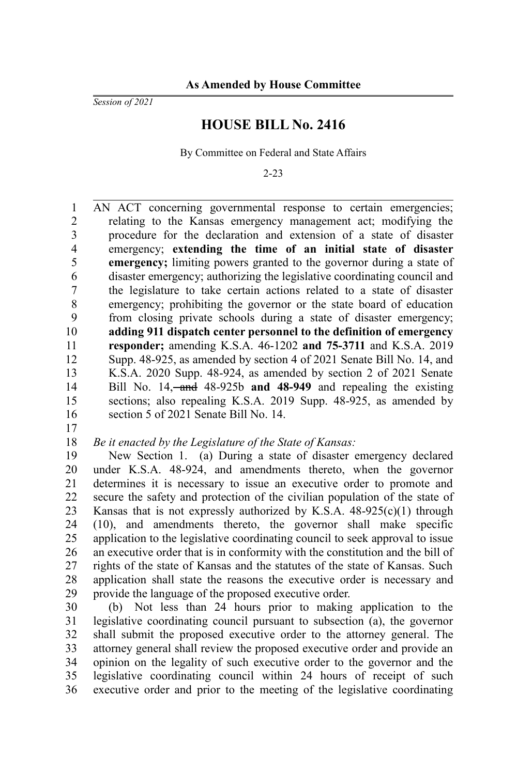*Session of 2021*

## **HOUSE BILL No. 2416**

By Committee on Federal and State Affairs

2-23

AN ACT concerning governmental response to certain emergencies; relating to the Kansas emergency management act; modifying the procedure for the declaration and extension of a state of disaster emergency; **extending the time of an initial state of disaster emergency;** limiting powers granted to the governor during a state of disaster emergency; authorizing the legislative coordinating council and the legislature to take certain actions related to a state of disaster emergency; prohibiting the governor or the state board of education from closing private schools during a state of disaster emergency; **adding 911 dispatch center personnel to the definition of emergency responder;** amending K.S.A. 46-1202 **and 75-3711** and K.S.A. 2019 Supp. 48-925, as amended by section 4 of 2021 Senate Bill No. 14, and K.S.A. 2020 Supp. 48-924, as amended by section 2 of 2021 Senate Bill No. 14, and 48-925b **and 48-949** and repealing the existing sections; also repealing K.S.A. 2019 Supp. 48-925, as amended by section 5 of 2021 Senate Bill No. 14. 1 2 3 4 5 6 7 8 9 10 11 12 13 14 15 16

17

## *Be it enacted by the Legislature of the State of Kansas:* 18

New Section 1. (a) During a state of disaster emergency declared under K.S.A. 48-924, and amendments thereto, when the governor determines it is necessary to issue an executive order to promote and secure the safety and protection of the civilian population of the state of Kansas that is not expressly authorized by K.S.A.  $48-925(c)(1)$  through (10), and amendments thereto, the governor shall make specific application to the legislative coordinating council to seek approval to issue an executive order that is in conformity with the constitution and the bill of rights of the state of Kansas and the statutes of the state of Kansas. Such application shall state the reasons the executive order is necessary and provide the language of the proposed executive order. 19 20 21 22 23 24 25 26 27 28 29

(b) Not less than 24 hours prior to making application to the legislative coordinating council pursuant to subsection (a), the governor shall submit the proposed executive order to the attorney general. The attorney general shall review the proposed executive order and provide an opinion on the legality of such executive order to the governor and the legislative coordinating council within 24 hours of receipt of such executive order and prior to the meeting of the legislative coordinating 30 31 32 33 34 35 36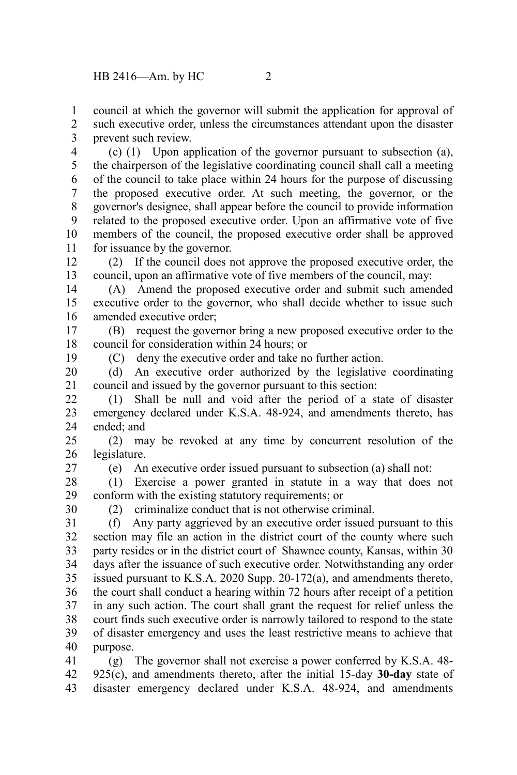council at which the governor will submit the application for approval of 1

such executive order, unless the circumstances attendant upon the disaster prevent such review. 2 3

(c) (1) Upon application of the governor pursuant to subsection (a), the chairperson of the legislative coordinating council shall call a meeting of the council to take place within 24 hours for the purpose of discussing the proposed executive order. At such meeting, the governor, or the governor's designee, shall appear before the council to provide information related to the proposed executive order. Upon an affirmative vote of five members of the council, the proposed executive order shall be approved for issuance by the governor. 4 5 6 7 8 9 10 11

(2) If the council does not approve the proposed executive order, the council, upon an affirmative vote of five members of the council, may: 12 13

(A) Amend the proposed executive order and submit such amended executive order to the governor, who shall decide whether to issue such amended executive order; 14 15 16

(B) request the governor bring a new proposed executive order to the council for consideration within 24 hours; or 17 18

19

(C) deny the executive order and take no further action.

(d) An executive order authorized by the legislative coordinating council and issued by the governor pursuant to this section: 20 21

(1) Shall be null and void after the period of a state of disaster emergency declared under K.S.A. 48-924, and amendments thereto, has ended; and 22 23 24

(2) may be revoked at any time by concurrent resolution of the legislature. 25 26

27

(e) An executive order issued pursuant to subsection (a) shall not:

(1) Exercise a power granted in statute in a way that does not conform with the existing statutory requirements; or 28 29

30

(2) criminalize conduct that is not otherwise criminal.

(f) Any party aggrieved by an executive order issued pursuant to this section may file an action in the district court of the county where such party resides or in the district court of Shawnee county, Kansas, within 30 days after the issuance of such executive order. Notwithstanding any order issued pursuant to K.S.A. 2020 Supp. 20-172(a), and amendments thereto, the court shall conduct a hearing within 72 hours after receipt of a petition in any such action. The court shall grant the request for relief unless the court finds such executive order is narrowly tailored to respond to the state of disaster emergency and uses the least restrictive means to achieve that purpose. 31 32 33 34 35 36 37 38 39 40

(g) The governor shall not exercise a power conferred by K.S.A. 48- 925(c), and amendments thereto, after the initial 15-day **30-day** state of disaster emergency declared under K.S.A. 48-924, and amendments 41 42 43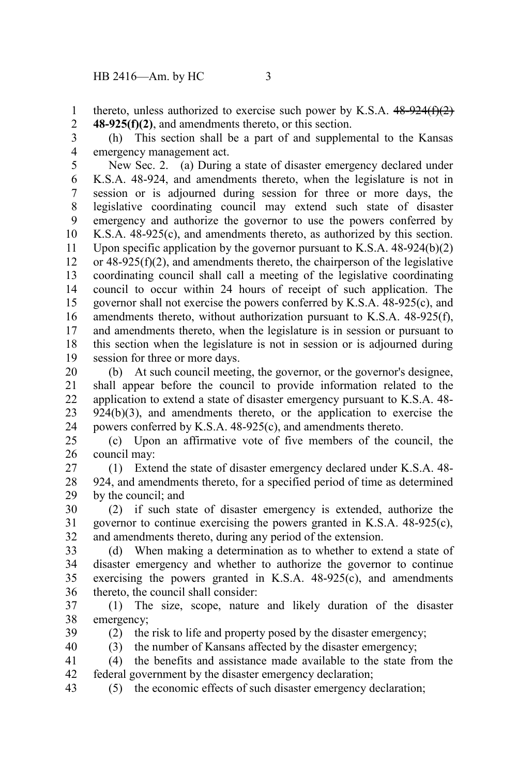thereto, unless authorized to exercise such power by K.S.A.  $48-924(f)(2)$ **48-925(f)(2)**, and amendments thereto, or this section. 1 2

(h) This section shall be a part of and supplemental to the Kansas emergency management act. 3 4

New Sec. 2. (a) During a state of disaster emergency declared under K.S.A. 48-924, and amendments thereto, when the legislature is not in session or is adjourned during session for three or more days, the legislative coordinating council may extend such state of disaster emergency and authorize the governor to use the powers conferred by K.S.A. 48-925(c), and amendments thereto, as authorized by this section. Upon specific application by the governor pursuant to K.S.A. 48-924(b)(2) or 48-925(f)(2), and amendments thereto, the chairperson of the legislative coordinating council shall call a meeting of the legislative coordinating council to occur within 24 hours of receipt of such application. The governor shall not exercise the powers conferred by K.S.A. 48-925(c), and amendments thereto, without authorization pursuant to K.S.A. 48-925(f), and amendments thereto, when the legislature is in session or pursuant to this section when the legislature is not in session or is adjourned during session for three or more days. 5 6 7 8 9 10 11 12 13 14 15 16 17 18 19

(b) At such council meeting, the governor, or the governor's designee, shall appear before the council to provide information related to the application to extend a state of disaster emergency pursuant to K.S.A. 48- 924(b)(3), and amendments thereto, or the application to exercise the powers conferred by K.S.A. 48-925(c), and amendments thereto. 20 21 22 23 24

(c) Upon an affirmative vote of five members of the council, the council may: 25 26

(1) Extend the state of disaster emergency declared under K.S.A. 48- 924, and amendments thereto, for a specified period of time as determined by the council; and 27 28 29

(2) if such state of disaster emergency is extended, authorize the governor to continue exercising the powers granted in K.S.A. 48-925(c), and amendments thereto, during any period of the extension. 30 31 32

(d) When making a determination as to whether to extend a state of disaster emergency and whether to authorize the governor to continue exercising the powers granted in K.S.A. 48-925(c), and amendments thereto, the council shall consider: 33 34 35 36

(1) The size, scope, nature and likely duration of the disaster emergency; 37 38

39 40 (2) the risk to life and property posed by the disaster emergency;

(3) the number of Kansans affected by the disaster emergency;

(4) the benefits and assistance made available to the state from the federal government by the disaster emergency declaration; 41 42

(5) the economic effects of such disaster emergency declaration; 43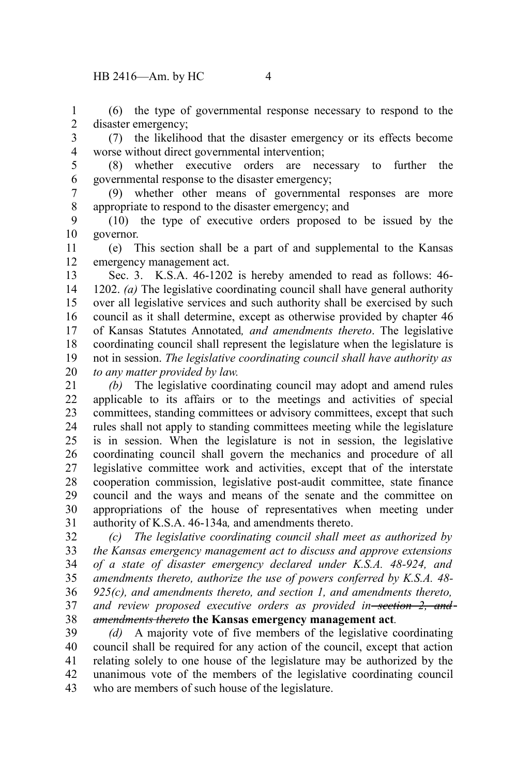(6) the type of governmental response necessary to respond to the disaster emergency; 1 2

(7) the likelihood that the disaster emergency or its effects become worse without direct governmental intervention; 3 4

5

(8) whether executive orders are necessary to further the governmental response to the disaster emergency; 6

(9) whether other means of governmental responses are more appropriate to respond to the disaster emergency; and 7 8

(10) the type of executive orders proposed to be issued by the governor. 9 10

(e) This section shall be a part of and supplemental to the Kansas emergency management act. 11 12

Sec. 3. K.S.A. 46-1202 is hereby amended to read as follows: 46- 1202. *(a)* The legislative coordinating council shall have general authority over all legislative services and such authority shall be exercised by such council as it shall determine, except as otherwise provided by chapter 46 of Kansas Statutes Annotated*, and amendments thereto*. The legislative coordinating council shall represent the legislature when the legislature is not in session. *The legislative coordinating council shall have authority as to any matter provided by law.* 13 14 15 16 17 18 19 20

*(b)* The legislative coordinating council may adopt and amend rules applicable to its affairs or to the meetings and activities of special committees, standing committees or advisory committees, except that such rules shall not apply to standing committees meeting while the legislature is in session. When the legislature is not in session, the legislative coordinating council shall govern the mechanics and procedure of all legislative committee work and activities, except that of the interstate cooperation commission, legislative post-audit committee, state finance council and the ways and means of the senate and the committee on appropriations of the house of representatives when meeting under authority of K.S.A. 46-134a*,* and amendments thereto. 21 22 23 24 25 26 27 28 29 30 31

*(c) The legislative coordinating council shall meet as authorized by the Kansas emergency management act to discuss and approve extensions of a state of disaster emergency declared under K.S.A. 48-924, and amendments thereto, authorize the use of powers conferred by K.S.A. 48- 925(c), and amendments thereto, and section 1, and amendments thereto, and review proposed executive orders as provided in section 2, and amendments thereto* **the Kansas emergency management act***.* 32 33 34 35 36 37 38

*(d)* A majority vote of five members of the legislative coordinating council shall be required for any action of the council, except that action relating solely to one house of the legislature may be authorized by the unanimous vote of the members of the legislative coordinating council who are members of such house of the legislature. 39 40 41 42 43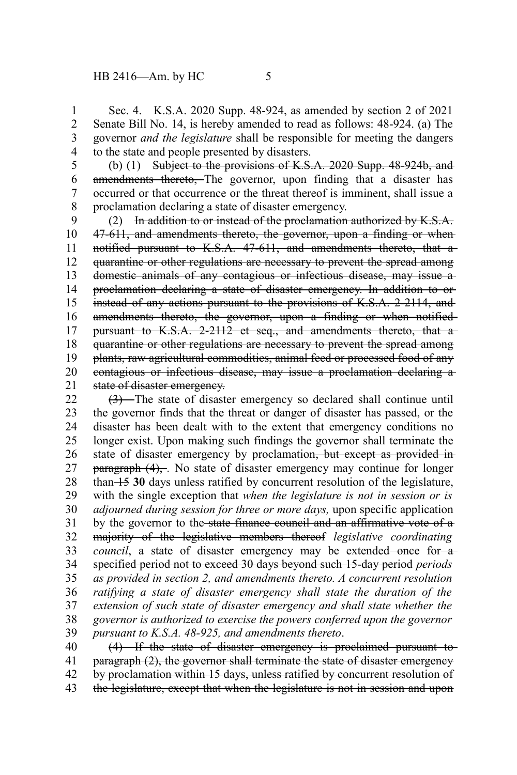Sec. 4. K.S.A. 2020 Supp. 48-924, as amended by section 2 of 2021 Senate Bill No. 14, is hereby amended to read as follows: 48-924. (a) The governor *and the legislature* shall be responsible for meeting the dangers to the state and people presented by disasters. 1 2 3 4

(b) (1) Subject to the provisions of K.S.A. 2020 Supp. 48-924b, and amendments thereto, The governor, upon finding that a disaster has occurred or that occurrence or the threat thereof is imminent, shall issue a proclamation declaring a state of disaster emergency. 5 6 7 8

(2) In addition to or instead of the proclamation authorized by  $K.S.A.$ 47-611, and amendments thereto, the governor, upon a finding or when notified pursuant to K.S.A. 47-611, and amendments thereto, that a quarantine or other regulations are necessary to prevent the spread among domestic animals of any contagious or infectious disease, may issue a proclamation declaring a state of disaster emergency. In addition to or instead of any actions pursuant to the provisions of K.S.A. 2-2114, and amendments thereto, the governor, upon a finding or when notified pursuant to K.S.A. 2-2112 et seq., and amendments thereto, that aquarantine or other regulations are necessary to prevent the spread among plants, raw agricultural commodities, animal feed or processed food of any contagious or infectious disease, may issue a proclamation declaring a state of disaster emergency. 9 10 11 12 13 14 15 16 17 18 19 20 21

(3) The state of disaster emergency so declared shall continue until the governor finds that the threat or danger of disaster has passed, or the disaster has been dealt with to the extent that emergency conditions no longer exist. Upon making such findings the governor shall terminate the state of disaster emergency by proclamation, but except as provided in**paragraph (4),.** No state of disaster emergency may continue for longer than 15 **30** days unless ratified by concurrent resolution of the legislature, with the single exception that *when the legislature is not in session or is adjourned during session for three or more days,* upon specific application by the governor to the state finance council and an affirmative vote of a majority of the legislative members thereof *legislative coordinating council*, a state of disaster emergency may be extended-once for-aspecified period not to exceed 30 days beyond such 15-day period *periods as provided in section 2, and amendments thereto. A concurrent resolution ratifying a state of disaster emergency shall state the duration of the extension of such state of disaster emergency and shall state whether the governor is authorized to exercise the powers conferred upon the governor pursuant to K.S.A. 48-925, and amendments thereto*. (4) If the state of disaster emergency is proclaimed pursuant to 22 23 24 25 26 27 28 29 30 31 32 33 34 35 36 37 38 39 40

paragraph (2), the governor shall terminate the state of disaster emergency by proclamation within 15 days, unless ratified by concurrent resolution of 41 42

the legislature, except that when the legislature is not in session and upon 43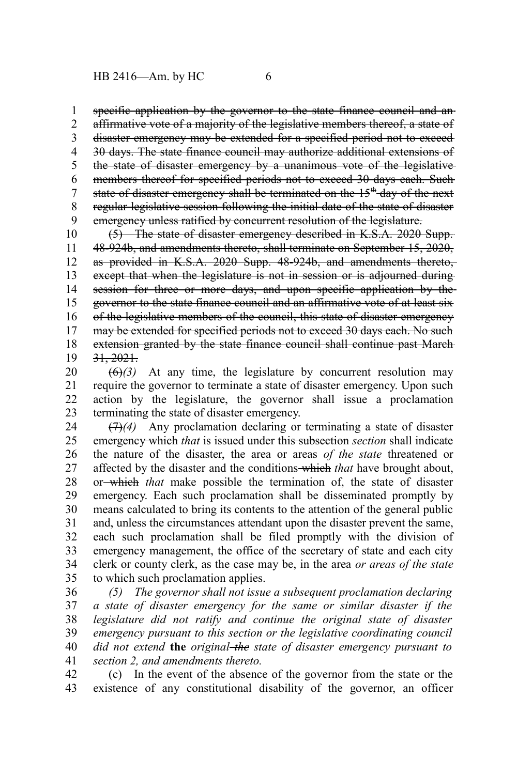specific application by the governor to the state finance council and anaffirmative vote of a majority of the legislative members thereof, a state of disaster emergency may be extended for a specified period not to exceed 30 days. The state finance council may authorize additional extensions of the state of disaster emergency by a unanimous vote of the legislative members thereof for specified periods not to exceed 30 days each. Such state of disaster emergency shall be terminated on the 15<sup>th</sup> day of the next regular legislative session following the initial date of the state of disaster emergency unless ratified by concurrent resolution of the legislature. 1 2 3 4 5 6 7 8 9

(5) The state of disaster emergency described in K.S.A. 2020 Supp. 48-924b, and amendments thereto, shall terminate on September 15, 2020, as provided in K.S.A. 2020 Supp. 48-924b, and amendments thereto, except that when the legislature is not in session or is adjourned during session for three or more days, and upon specific application by thegovernor to the state finance council and an affirmative vote of at least six of the legislative members of the council, this state of disaster emergency may be extended for specified periods not to exceed 30 days each. No such extension granted by the state finance council shall continue past March-31, 2021. 10 11 12 13 14 15 16 17 18 19

 $\left(\frac{6}{2}\right)$  At any time, the legislature by concurrent resolution may require the governor to terminate a state of disaster emergency. Upon such action by the legislature, the governor shall issue a proclamation terminating the state of disaster emergency. 20 21 22 23

(7)*(4)* Any proclamation declaring or terminating a state of disaster emergency which *that* is issued under this subsection *section* shall indicate the nature of the disaster, the area or areas *of the state* threatened or affected by the disaster and the conditions which *that* have brought about, or which *that* make possible the termination of, the state of disaster emergency. Each such proclamation shall be disseminated promptly by means calculated to bring its contents to the attention of the general public and, unless the circumstances attendant upon the disaster prevent the same, each such proclamation shall be filed promptly with the division of emergency management, the office of the secretary of state and each city clerk or county clerk, as the case may be, in the area *or areas of the state* to which such proclamation applies. 24 25 26 27 28 29 30 31 32 33 34 35

*(5) The governor shall not issue a subsequent proclamation declaring a state of disaster emergency for the same or similar disaster if the legislature did not ratify and continue the original state of disaster emergency pursuant to this section or the legislative coordinating council did not extend* **the** *original the state of disaster emergency pursuant to section 2, and amendments thereto.* 36 37 38 39 40 41

(c) In the event of the absence of the governor from the state or the existence of any constitutional disability of the governor, an officer 42 43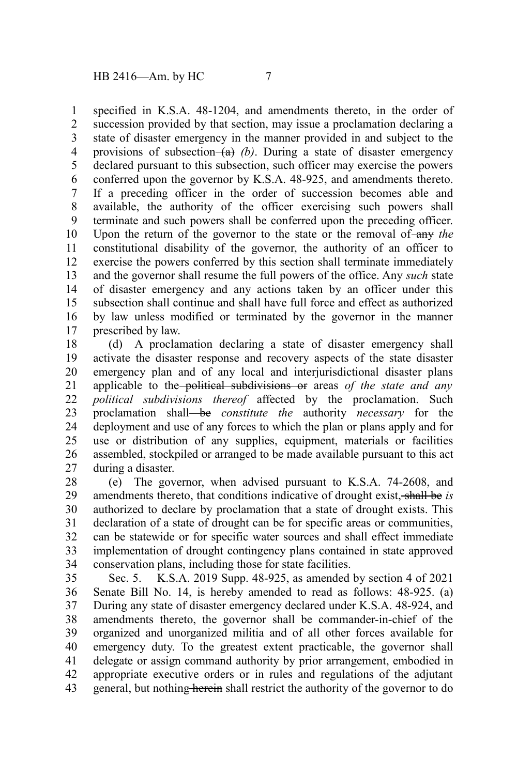specified in K.S.A. 48-1204, and amendments thereto, in the order of succession provided by that section, may issue a proclamation declaring a state of disaster emergency in the manner provided in and subject to the provisions of subsection  $(a)$  (b). During a state of disaster emergency declared pursuant to this subsection, such officer may exercise the powers conferred upon the governor by K.S.A. 48-925, and amendments thereto. If a preceding officer in the order of succession becomes able and available, the authority of the officer exercising such powers shall terminate and such powers shall be conferred upon the preceding officer. Upon the return of the governor to the state or the removal of-any the constitutional disability of the governor, the authority of an officer to exercise the powers conferred by this section shall terminate immediately and the governor shall resume the full powers of the office. Any *such* state of disaster emergency and any actions taken by an officer under this subsection shall continue and shall have full force and effect as authorized by law unless modified or terminated by the governor in the manner prescribed by law. 1 2 3 4 5 6 7 8 9 10 11 12 13 14 15 16 17

(d) A proclamation declaring a state of disaster emergency shall activate the disaster response and recovery aspects of the state disaster emergency plan and of any local and interjurisdictional disaster plans applicable to the political subdivisions or areas *of the state and any political subdivisions thereof* affected by the proclamation. Such proclamation shall be *constitute the* authority *necessary* for the deployment and use of any forces to which the plan or plans apply and for use or distribution of any supplies, equipment, materials or facilities assembled, stockpiled or arranged to be made available pursuant to this act during a disaster. 18 19 20 21 22 23 24 25 26 27

(e) The governor, when advised pursuant to K.S.A. 74-2608, and amendments thereto, that conditions indicative of drought exist, shall be *is* authorized to declare by proclamation that a state of drought exists. This declaration of a state of drought can be for specific areas or communities, can be statewide or for specific water sources and shall effect immediate implementation of drought contingency plans contained in state approved conservation plans, including those for state facilities. 28 29 30 31 32 33 34

Sec. 5. K.S.A. 2019 Supp. 48-925, as amended by section 4 of 2021 Senate Bill No. 14, is hereby amended to read as follows: 48-925. (a) During any state of disaster emergency declared under K.S.A. 48-924, and amendments thereto, the governor shall be commander-in-chief of the organized and unorganized militia and of all other forces available for emergency duty. To the greatest extent practicable, the governor shall delegate or assign command authority by prior arrangement, embodied in appropriate executive orders or in rules and regulations of the adjutant general, but nothing herein shall restrict the authority of the governor to do 35 36 37 38 39 40 41 42 43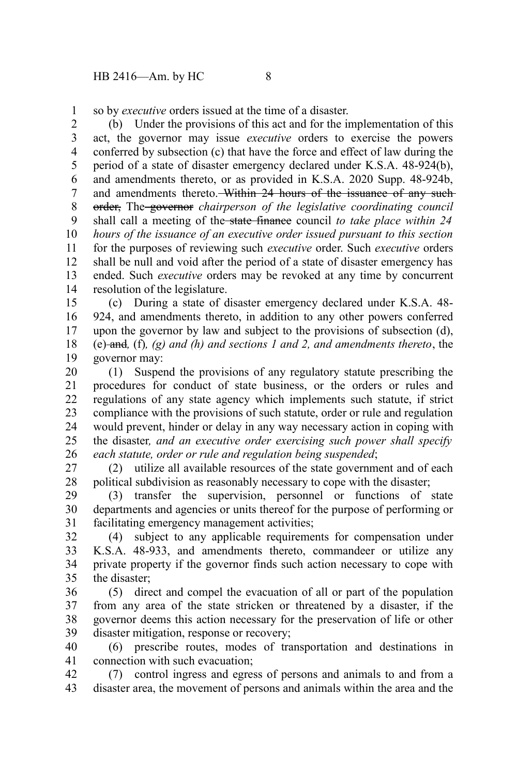so by *executive* orders issued at the time of a disaster. 1

(b) Under the provisions of this act and for the implementation of this act, the governor may issue *executive* orders to exercise the powers conferred by subsection (c) that have the force and effect of law during the period of a state of disaster emergency declared under K.S.A. 48-924(b), and amendments thereto, or as provided in K.S.A. 2020 Supp. 48-924b, and amendments thereto. Within 24 hours of the issuance of any suchorder, The governor *chairperson of the legislative coordinating council* shall call a meeting of the state finance council *to take place within 24 hours of the issuance of an executive order issued pursuant to this section* for the purposes of reviewing such *executive* order. Such *executive* orders shall be null and void after the period of a state of disaster emergency has ended. Such *executive* orders may be revoked at any time by concurrent resolution of the legislature. 2 3 4 5 6 7 8 9 10 11 12 13 14

(c) During a state of disaster emergency declared under K.S.A. 48- 924, and amendments thereto, in addition to any other powers conferred upon the governor by law and subject to the provisions of subsection (d), (e) and*,* (f)*, (g) and (h) and sections 1 and 2, and amendments thereto*, the governor may: 15 16 17 18 19

(1) Suspend the provisions of any regulatory statute prescribing the procedures for conduct of state business, or the orders or rules and regulations of any state agency which implements such statute, if strict compliance with the provisions of such statute, order or rule and regulation would prevent, hinder or delay in any way necessary action in coping with the disaster*, and an executive order exercising such power shall specify each statute, order or rule and regulation being suspended*; 20 21 22 23 24 25 26

(2) utilize all available resources of the state government and of each political subdivision as reasonably necessary to cope with the disaster; 27 28

(3) transfer the supervision, personnel or functions of state departments and agencies or units thereof for the purpose of performing or facilitating emergency management activities; 29 30 31

(4) subject to any applicable requirements for compensation under K.S.A. 48-933, and amendments thereto, commandeer or utilize any private property if the governor finds such action necessary to cope with the disaster; 32 33 34 35

(5) direct and compel the evacuation of all or part of the population from any area of the state stricken or threatened by a disaster, if the governor deems this action necessary for the preservation of life or other disaster mitigation, response or recovery; 36 37 38 39

(6) prescribe routes, modes of transportation and destinations in connection with such evacuation; 40 41

(7) control ingress and egress of persons and animals to and from a disaster area, the movement of persons and animals within the area and the 42 43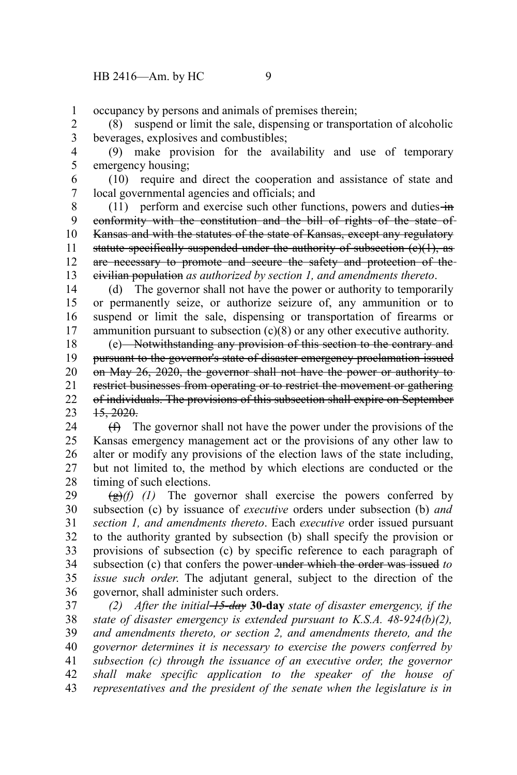occupancy by persons and animals of premises therein; 1

(8) suspend or limit the sale, dispensing or transportation of alcoholic beverages, explosives and combustibles; 2 3

(9) make provision for the availability and use of temporary emergency housing; 4 5

(10) require and direct the cooperation and assistance of state and local governmental agencies and officials; and 6 7

(11) perform and exercise such other functions, powers and duties  $\frac{1}{2}$ conformity with the constitution and the bill of rights of the state of Kansas and with the statutes of the state of Kansas, except any regulatory statute specifically suspended under the authority of subsection  $(e)(1)$ , as are necessary to promote and secure the safety and protection of the civilian population *as authorized by section 1, and amendments thereto*. 8 9 10 11 12 13

(d) The governor shall not have the power or authority to temporarily or permanently seize, or authorize seizure of, any ammunition or to suspend or limit the sale, dispensing or transportation of firearms or ammunition pursuant to subsection (c)(8) or any other executive authority. 14 15 16 17

(e) Notwithstanding any provision of this section to the contrary and pursuant to the governor's state of disaster emergency proclamation issued on May 26, 2020, the governor shall not have the power or authority to restrict businesses from operating or to restrict the movement or gathering of individuals. The provisions of this subsection shall expire on September 15, 2020. 18 19 20 21 22 23

(f) The governor shall not have the power under the provisions of the Kansas emergency management act or the provisions of any other law to alter or modify any provisions of the election laws of the state including, but not limited to, the method by which elections are conducted or the timing of such elections. 24 25 26 27 28

 $\left(\frac{g}{f}\right)(f)$  (1) The governor shall exercise the powers conferred by subsection (c) by issuance of *executive* orders under subsection (b) *and section 1, and amendments thereto*. Each *executive* order issued pursuant to the authority granted by subsection (b) shall specify the provision or provisions of subsection (c) by specific reference to each paragraph of subsection (c) that confers the power under which the order was issued *to issue such order*. The adjutant general, subject to the direction of the governor, shall administer such orders. 29 30 31 32 33 34 35 36

*(2) After the initial 15-day* **30-day** *state of disaster emergency, if the state of disaster emergency is extended pursuant to K.S.A. 48-924(b)(2), and amendments thereto, or section 2, and amendments thereto, and the governor determines it is necessary to exercise the powers conferred by subsection (c) through the issuance of an executive order, the governor shall make specific application to the speaker of the house of representatives and the president of the senate when the legislature is in* 37 38 39 40 41 42 43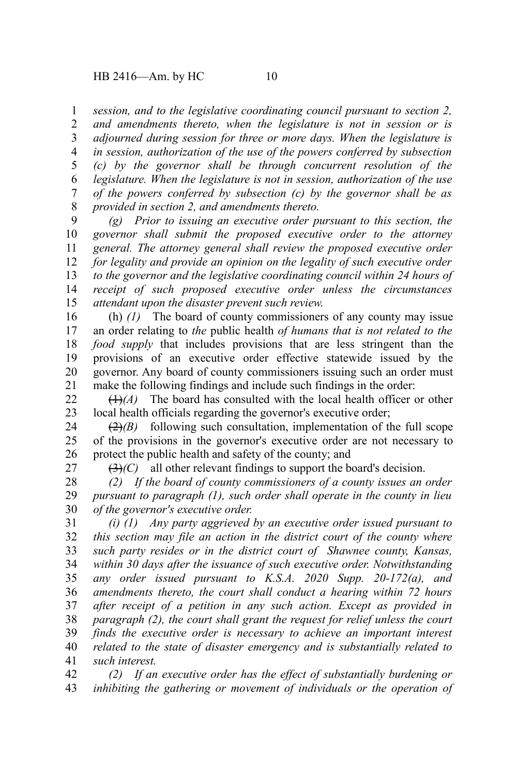*session, and to the legislative coordinating council pursuant to section 2,* 1

*and amendments thereto, when the legislature is not in session or is adjourned during session for three or more days. When the legislature is in session, authorization of the use of the powers conferred by subsection (c) by the governor shall be through concurrent resolution of the legislature. When the legislature is not in session, authorization of the use of the powers conferred by subsection (c) by the governor shall be as provided in section 2, and amendments thereto.* 2 3 4 5 6 7 8

*(g) Prior to issuing an executive order pursuant to this section, the governor shall submit the proposed executive order to the attorney general. The attorney general shall review the proposed executive order for legality and provide an opinion on the legality of such executive order to the governor and the legislative coordinating council within 24 hours of receipt of such proposed executive order unless the circumstances attendant upon the disaster prevent such review.* 9 10 11 12 13 14 15

(h) *(1)* The board of county commissioners of any county may issue an order relating to *the* public health *of humans that is not related to the food supply* that includes provisions that are less stringent than the provisions of an executive order effective statewide issued by the governor. Any board of county commissioners issuing such an order must make the following findings and include such findings in the order: 16 17 18 19 20 21

(1)*(A)* The board has consulted with the local health officer or other local health officials regarding the governor's executive order; 22 23

 $\left(\frac{2}{2}\right)$  following such consultation, implementation of the full scope of the provisions in the governor's executive order are not necessary to protect the public health and safety of the county; and 24 25 26

27

(3)*(C)* all other relevant findings to support the board's decision.

*(2) If the board of county commissioners of a county issues an order pursuant to paragraph (1), such order shall operate in the county in lieu of the governor's executive order.* 28 29 30

*(i) (1) Any party aggrieved by an executive order issued pursuant to this section may file an action in the district court of the county where such party resides or in the district court of Shawnee county, Kansas, within 30 days after the issuance of such executive order. Notwithstanding any order issued pursuant to K.S.A. 2020 Supp. 20-172(a), and amendments thereto, the court shall conduct a hearing within 72 hours after receipt of a petition in any such action. Except as provided in paragraph (2), the court shall grant the request for relief unless the court finds the executive order is necessary to achieve an important interest related to the state of disaster emergency and is substantially related to such interest.* 31 32 33 34 35 36 37 38 39 40 41

*(2) If an executive order has the effect of substantially burdening or inhibiting the gathering or movement of individuals or the operation of* 42 43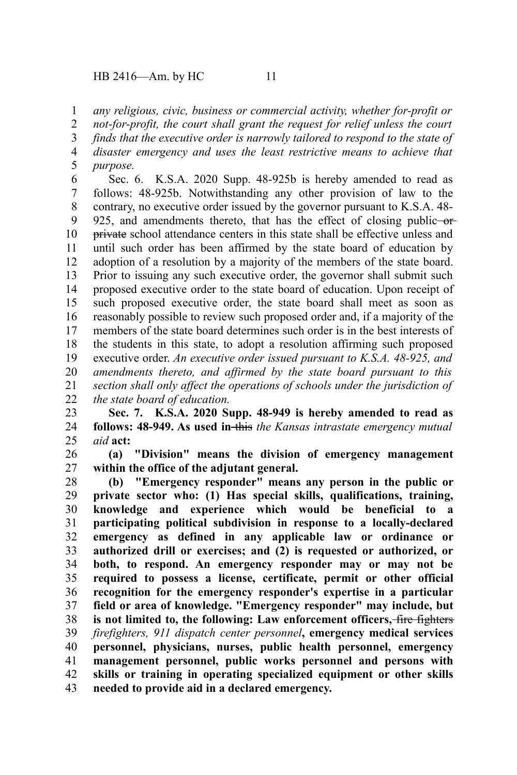## HB 2416—Am. by HC 11

*any religious, civic, business or commercial activity, whether for-profit or* 1

*not-for-profit, the court shall grant the request for relief unless the court* 2

*finds that the executive order is narrowly tailored to respond to the state of disaster emergency and uses the least restrictive means to achieve that* 3 4

*purpose.* 5

Sec. 6. K.S.A. 2020 Supp. 48-925b is hereby amended to read as follows: 48-925b. Notwithstanding any other provision of law to the contrary, no executive order issued by the governor pursuant to K.S.A. 48- 925, and amendments thereto, that has the effect of closing public-orprivate school attendance centers in this state shall be effective unless and until such order has been affirmed by the state board of education by adoption of a resolution by a majority of the members of the state board. Prior to issuing any such executive order, the governor shall submit such proposed executive order to the state board of education. Upon receipt of such proposed executive order, the state board shall meet as soon as reasonably possible to review such proposed order and, if a majority of the members of the state board determines such order is in the best interests of the students in this state, to adopt a resolution affirming such proposed executive order. *An executive order issued pursuant to K.S.A. 48-925, and amendments thereto, and affirmed by the state board pursuant to this section shall only affect the operations of schools under the jurisdiction of the state board of education.* 6 7 8 9 10 11 12 13 14 15 16 17 18 19 20 21 22

**Sec. 7. K.S.A. 2020 Supp. 48-949 is hereby amended to read as follows: 48-949. As used in-this** the Kansas intrastate emergency mutual *aid* **act:** 23 24 25

**(a) "Division" means the division of emergency management within the office of the adjutant general.** 26 27

**(b) "Emergency responder" means any person in the public or private sector who: (1) Has special skills, qualifications, training, knowledge and experience which would be beneficial to a participating political subdivision in response to a locally-declared emergency as defined in any applicable law or ordinance or authorized drill or exercises; and (2) is requested or authorized, or both, to respond. An emergency responder may or may not be required to possess a license, certificate, permit or other official recognition for the emergency responder's expertise in a particular field or area of knowledge. "Emergency responder" may include, but is not limited to, the following: Law enforcement officers,** fire fighters *firefighters, 911 dispatch center personnel***, emergency medical services personnel, physicians, nurses, public health personnel, emergency management personnel, public works personnel and persons with skills or training in operating specialized equipment or other skills needed to provide aid in a declared emergency.** 28 29 30 31 32 33 34 35 36 37 38 39 40 41 42 43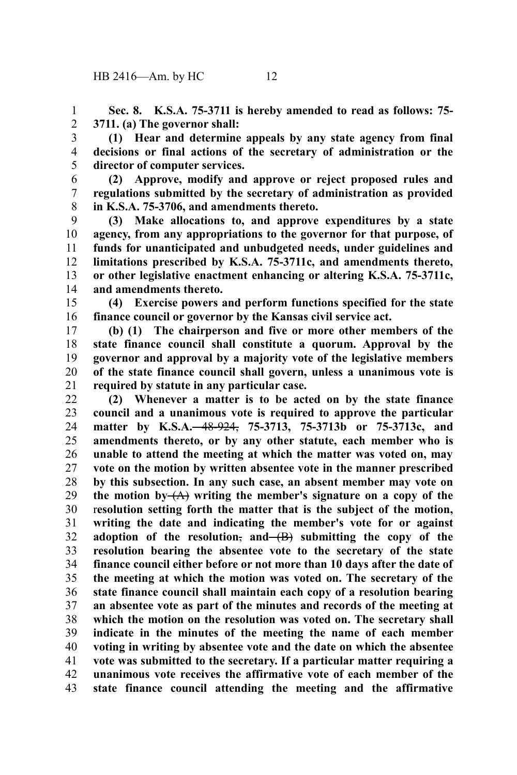**Sec. 8. K.S.A. 75-3711 is hereby amended to read as follows: 75- 3711. (a) The governor shall:** 1 2

**(1) Hear and determine appeals by any state agency from final decisions or final actions of the secretary of administration or the director of computer services.** 3 4 5

**(2) Approve, modify and approve or reject proposed rules and regulations submitted by the secretary of administration as provided in K.S.A. 75-3706, and amendments thereto.** 6 7 8

**(3) Make allocations to, and approve expenditures by a state agency, from any appropriations to the governor for that purpose, of funds for unanticipated and unbudgeted needs, under guidelines and limitations prescribed by K.S.A. 75-3711c, and amendments thereto, or other legislative enactment enhancing or altering K.S.A. 75-3711c, and amendments thereto.** 9 10 11 12 13 14

**(4) Exercise powers and perform functions specified for the state finance council or governor by the Kansas civil service act.** 15 16

**(b) (1) The chairperson and five or more other members of the state finance council shall constitute a quorum. Approval by the governor and approval by a majority vote of the legislative members of the state finance council shall govern, unless a unanimous vote is required by statute in any particular case.** 17 18 19 20 21

**(2) Whenever a matter is to be acted on by the state finance council and a unanimous vote is required to approve the particular matter by K.S.A.** 48-924, **75-3713, 75-3713b or 75-3713c, and amendments thereto, or by any other statute, each member who is unable to attend the meeting at which the matter was voted on, may vote on the motion by written absentee vote in the manner prescribed by this subsection. In any such case, an absent member may vote on** the motion by  $(A)$  writing the member's signature on a copy of the r**esolution setting forth the matter that is the subject of the motion, writing the date and indicating the member's vote for or against** adoption of the resolution,  $\text{and}(-B)$  submitting the copy of the **resolution bearing the absentee vote to the secretary of the state finance council either before or not more than 10 days after the date of the meeting at which the motion was voted on. The secretary of the state finance council shall maintain each copy of a resolution bearing an absentee vote as part of the minutes and records of the meeting at which the motion on the resolution was voted on. The secretary shall indicate in the minutes of the meeting the name of each member voting in writing by absentee vote and the date on which the absentee vote was submitted to the secretary. If a particular matter requiring a unanimous vote receives the affirmative vote of each member of the state finance council attending the meeting and the affirmative** 22 23 24 25 26 27 28 29 30 31 32 33 34 35 36 37 38 39 40 41 42 43